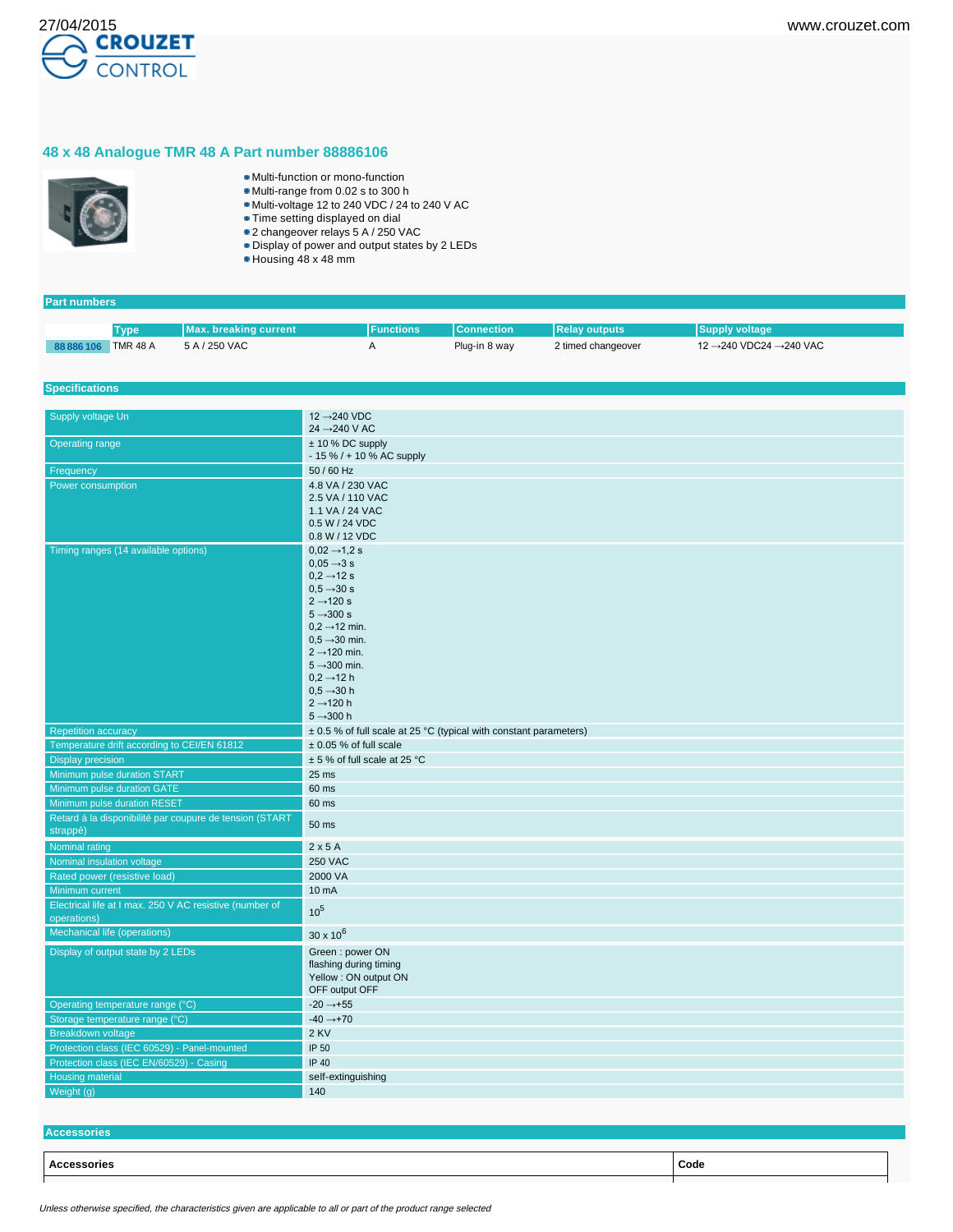

## **48 x 48 Analogue TMR 48 A Part number 88886106**



**Accessories**

- Multi-function or mono-function
- Multi-range from 0.02 s to 300 h Multi-voltage 12 to 240 VDC / 24 to 240 V AC
- 
- Time setting displayed on dial
- 2 changeover relays 5 A / 250 VAC
- Display of power and output states by 2 LEDs
- Housing 48 x 48 mm

| <b>Part numbers</b>                                                                     |                                                                   |                   |                      |                        |
|-----------------------------------------------------------------------------------------|-------------------------------------------------------------------|-------------------|----------------------|------------------------|
| <b>Max. breaking current</b><br><b>Type</b>                                             | <b>Functions</b>                                                  | <b>Connection</b> | <b>Relay outputs</b> | <b>Supply voltage</b>  |
| 88 886 106 TMR 48 A<br>5 A / 250 VAC                                                    | Α                                                                 |                   |                      | 12 →240 VDC24 →240 VAC |
|                                                                                         |                                                                   | Plug-in 8 way     | 2 timed changeover   |                        |
|                                                                                         |                                                                   |                   |                      |                        |
| <b>Specifications</b>                                                                   |                                                                   |                   |                      |                        |
| Supply voltage Un                                                                       | 12 → 240 VDC                                                      |                   |                      |                        |
|                                                                                         | 24 $\rightarrow$ 240 V AC                                         |                   |                      |                        |
| <b>Operating range</b>                                                                  | $± 10 \%$ DC supply                                               |                   |                      |                        |
| Frequency                                                                               | $-15\% / + 10\%$ AC supply<br>50 / 60 Hz                          |                   |                      |                        |
| Power consumption                                                                       | 4.8 VA / 230 VAC                                                  |                   |                      |                        |
|                                                                                         | 2.5 VA / 110 VAC                                                  |                   |                      |                        |
|                                                                                         | 1.1 VA / 24 VAC                                                   |                   |                      |                        |
|                                                                                         | 0.5 W / 24 VDC                                                    |                   |                      |                        |
|                                                                                         | 0.8 W / 12 VDC                                                    |                   |                      |                        |
| Timing ranges (14 available options)                                                    | $0.02 - 1.2 s$                                                    |                   |                      |                        |
|                                                                                         | $0.05 \rightarrow 3 s$                                            |                   |                      |                        |
|                                                                                         | $0,2 \rightarrow 12$ s<br>$0.5 \rightarrow 30 s$                  |                   |                      |                        |
|                                                                                         | $2 \rightarrow 120$ s                                             |                   |                      |                        |
|                                                                                         | $5 \rightarrow 300 s$                                             |                   |                      |                        |
|                                                                                         | $0.2 \rightarrow 12$ min.                                         |                   |                      |                        |
|                                                                                         | $0.5 \rightarrow 30$ min.                                         |                   |                      |                        |
|                                                                                         | $2 \rightarrow 120$ min.<br>$5 \rightarrow 300$ min.              |                   |                      |                        |
|                                                                                         | $0.2 \rightarrow 12$ h                                            |                   |                      |                        |
|                                                                                         | $0,5 \rightarrow 30$ h                                            |                   |                      |                        |
|                                                                                         | $2 \rightarrow 120$ h                                             |                   |                      |                        |
|                                                                                         | $5 \rightarrow 300$ h                                             |                   |                      |                        |
| <b>Repetition accuracy</b>                                                              | ± 0.5 % of full scale at 25 °C (typical with constant parameters) |                   |                      |                        |
| Temperature drift according to CEI/EN 61812                                             | $\pm$ 0.05 % of full scale                                        |                   |                      |                        |
| <b>Display precision</b>                                                                | ± 5 % of full scale at 25 °C                                      |                   |                      |                        |
| Minimum pulse duration START                                                            | $25$ ms                                                           |                   |                      |                        |
| Minimum pulse duration GATE                                                             | 60 ms                                                             |                   |                      |                        |
| Minimum pulse duration RESET<br>Retard à la disponibilité par coupure de tension (START | 60 ms                                                             |                   |                      |                        |
| strappé)                                                                                | 50 ms                                                             |                   |                      |                        |
| Nominal rating                                                                          | 2x5A                                                              |                   |                      |                        |
| Nominal insulation voltage                                                              | <b>250 VAC</b>                                                    |                   |                      |                        |
| Rated power (resistive load)                                                            | 2000 VA                                                           |                   |                      |                        |
| Minimum current                                                                         | 10 <sub>m</sub> A                                                 |                   |                      |                        |
| Electrical life at I max. 250 V AC resistive (number of<br>operations)                  | 10 <sup>5</sup>                                                   |                   |                      |                        |
| Mechanical life (operations)                                                            | $30 \times 10^{6}$                                                |                   |                      |                        |
| Display of output state by 2 LEDs                                                       | Green: power ON                                                   |                   |                      |                        |
|                                                                                         | flashing during timing                                            |                   |                      |                        |
|                                                                                         | Yellow: ON output ON                                              |                   |                      |                        |
|                                                                                         | OFF output OFF<br>$-20 \rightarrow +55$                           |                   |                      |                        |
| Operating temperature range (°C)<br>Storage temperature range (°C)                      | $-40 \rightarrow +70$                                             |                   |                      |                        |
|                                                                                         | 2 KV                                                              |                   |                      |                        |
| <b>Breakdown voltage</b><br>Protection class (IEC 60529) - Panel-mounted                |                                                                   |                   |                      |                        |
|                                                                                         | IP 50<br>IP 40                                                    |                   |                      |                        |
| Protection class (IEC EN/60529) - Casing                                                |                                                                   |                   |                      |                        |
| Housing material<br>Weight (g)                                                          | self-extinguishing<br>140                                         |                   |                      |                        |
|                                                                                         |                                                                   |                   |                      |                        |

**Accessories Code**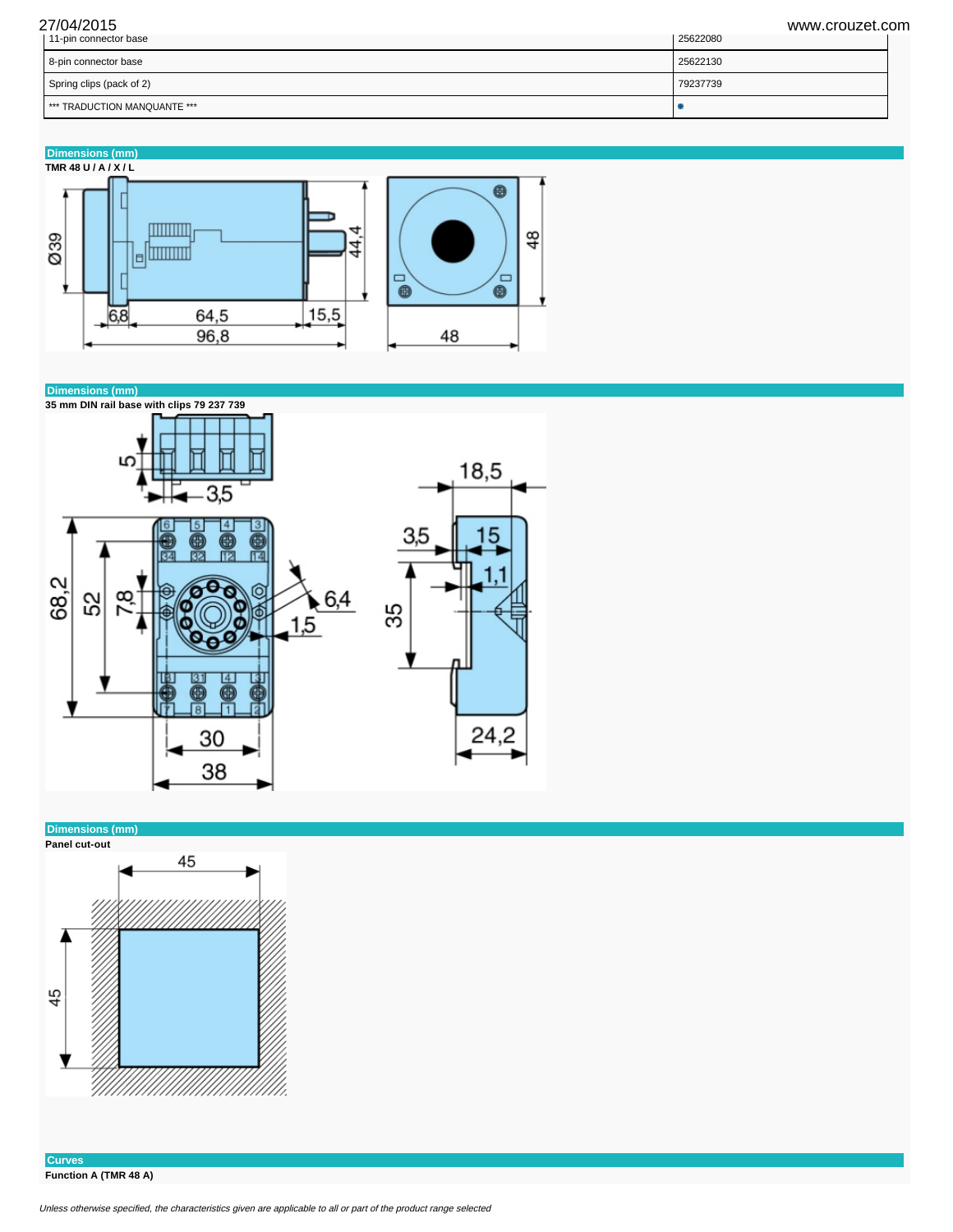| 27/04/2015<br>11-pin connector base | www.crouzet.com<br>25622080 |
|-------------------------------------|-----------------------------|
|                                     |                             |
| 8-pin connector base                | 25622130                    |
| Spring clips (pack of 2)            | 79237739                    |
| I *** TRADUCTION MANQUANTE ***      |                             |





## **Dimensions (mm)**



**Curves Function A (TMR 48 A)**